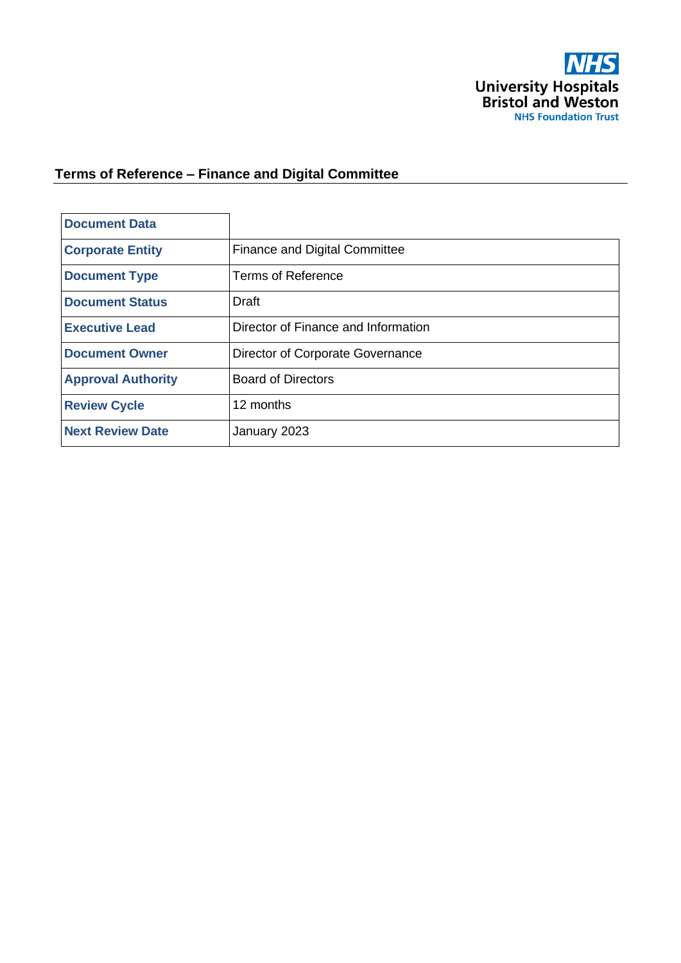

# **Terms of Reference – Finance and Digital Committee**

| <b>Document Data</b>      |                                      |
|---------------------------|--------------------------------------|
| <b>Corporate Entity</b>   | <b>Finance and Digital Committee</b> |
| <b>Document Type</b>      | <b>Terms of Reference</b>            |
| <b>Document Status</b>    | <b>Draft</b>                         |
| <b>Executive Lead</b>     | Director of Finance and Information  |
| <b>Document Owner</b>     | Director of Corporate Governance     |
| <b>Approval Authority</b> | <b>Board of Directors</b>            |
| <b>Review Cycle</b>       | 12 months                            |
| <b>Next Review Date</b>   | January 2023                         |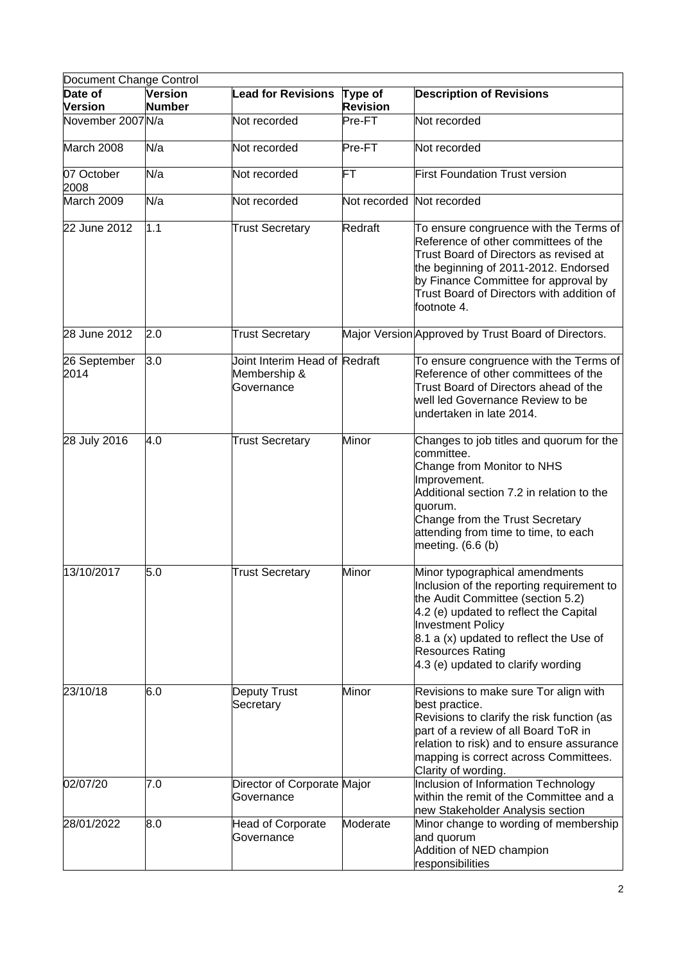| Document Change Control   |                                 |                                                             |                            |                                                                                                                                                                                                                                                                                                    |
|---------------------------|---------------------------------|-------------------------------------------------------------|----------------------------|----------------------------------------------------------------------------------------------------------------------------------------------------------------------------------------------------------------------------------------------------------------------------------------------------|
| Date of<br><b>Version</b> | <b>Version</b><br><b>Number</b> | <b>Lead for Revisions</b>                                   | Type of<br><b>Revision</b> | <b>Description of Revisions</b>                                                                                                                                                                                                                                                                    |
| November 2007 N/a         |                                 | Not recorded                                                | Pre-FT                     | Not recorded                                                                                                                                                                                                                                                                                       |
| March 2008                | N/a                             | Not recorded                                                | Pre-FT                     | Not recorded                                                                                                                                                                                                                                                                                       |
| 07 October<br>2008        | N/a                             | Not recorded                                                | FT                         | <b>First Foundation Trust version</b>                                                                                                                                                                                                                                                              |
| March 2009                | N/a                             | Not recorded                                                | Not recorded               | Not recorded                                                                                                                                                                                                                                                                                       |
| 22 June 2012              | 1.1                             | <b>Trust Secretary</b>                                      | Redraft                    | To ensure congruence with the Terms of<br>Reference of other committees of the<br>Trust Board of Directors as revised at<br>the beginning of 2011-2012. Endorsed<br>by Finance Committee for approval by<br>Trust Board of Directors with addition of<br>footnote 4.                               |
| 28 June 2012              | 2.0                             | <b>Trust Secretary</b>                                      |                            | Major Version Approved by Trust Board of Directors.                                                                                                                                                                                                                                                |
| 26 September<br>2014      | 3.0                             | Joint Interim Head of Redraft<br>Membership &<br>Governance |                            | To ensure congruence with the Terms of<br>Reference of other committees of the<br>Trust Board of Directors ahead of the<br>well led Governance Review to be<br>undertaken in late 2014.                                                                                                            |
| 28 July 2016              | 4.0                             | <b>Trust Secretary</b>                                      | Minor                      | Changes to job titles and quorum for the<br>committee.<br>Change from Monitor to NHS<br>Improvement.<br>Additional section 7.2 in relation to the<br>quorum.<br>Change from the Trust Secretary<br>attending from time to time, to each<br>meeting. $(6.6 (b))$                                    |
| 13/10/2017                | 5.0                             | <b>Trust Secretary</b>                                      | Minor                      | Minor typographical amendments<br>Inclusion of the reporting requirement to<br>the Audit Committee (section 5.2)<br>4.2 (e) updated to reflect the Capital<br><b>Investment Policy</b><br>8.1 a (x) updated to reflect the Use of<br><b>Resources Rating</b><br>4.3 (e) updated to clarify wording |
| 23/10/18                  | 6.0                             | <b>Deputy Trust</b><br>Secretary                            | Minor                      | Revisions to make sure Tor align with<br>best practice.<br>Revisions to clarify the risk function (as<br>part of a review of all Board ToR in<br>relation to risk) and to ensure assurance<br>mapping is correct across Committees.<br>Clarity of wording.                                         |
| 02/07/20                  | 7.0                             | Director of Corporate Major<br>Governance                   |                            | Inclusion of Information Technology<br>within the remit of the Committee and a<br>new Stakeholder Analysis section                                                                                                                                                                                 |
| 28/01/2022                | 8.0                             | <b>Head of Corporate</b><br>Governance                      | Moderate                   | Minor change to wording of membership<br>and quorum<br>Addition of NED champion<br>responsibilities                                                                                                                                                                                                |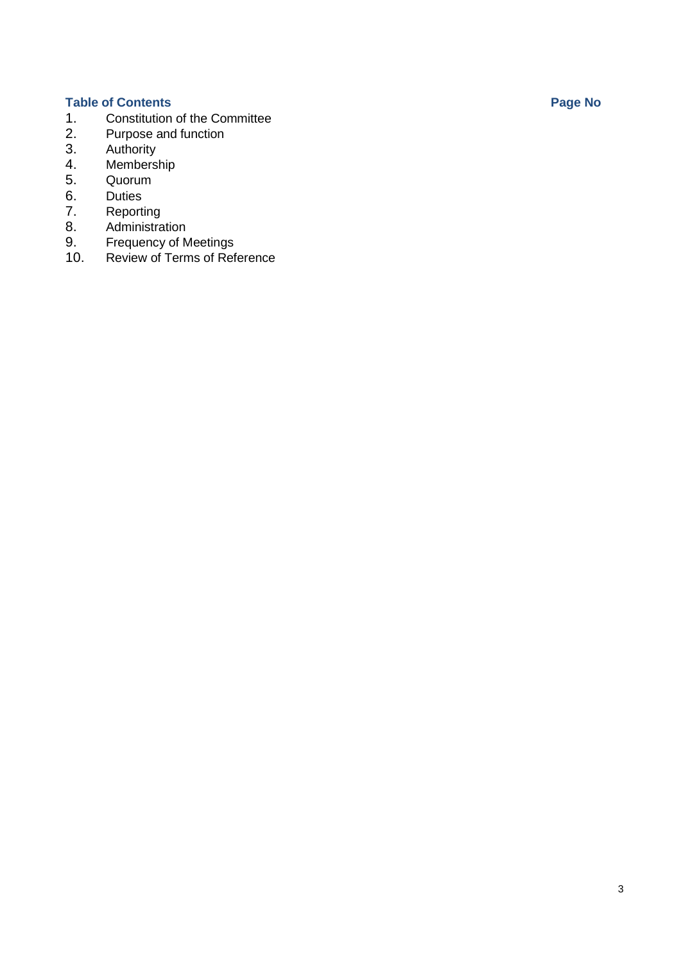- **Table of Contents Page No** 1. Constitution of the Committee<br>2. Purpose and function
- 2. Purpose [and function](#page-3-0)<br>3. Authority
- 3. [Authority](#page-6-0)<br>4. Members
- [Membership](#page-7-0)
- 5. Quorum<br>6. Duties
- 6. [Duties](#page-8-0)<br>7. Reporti
- 7. [Reporting](#page-6-1)<br>8. Administra
- 8. [Administration](#page-8-1)<br>9. Frequency of M
- 9. [Frequency](#page-9-0) of Meetings<br>10. Review of Terms of Ref
- Review of Terms of [Reference](#page-9-1)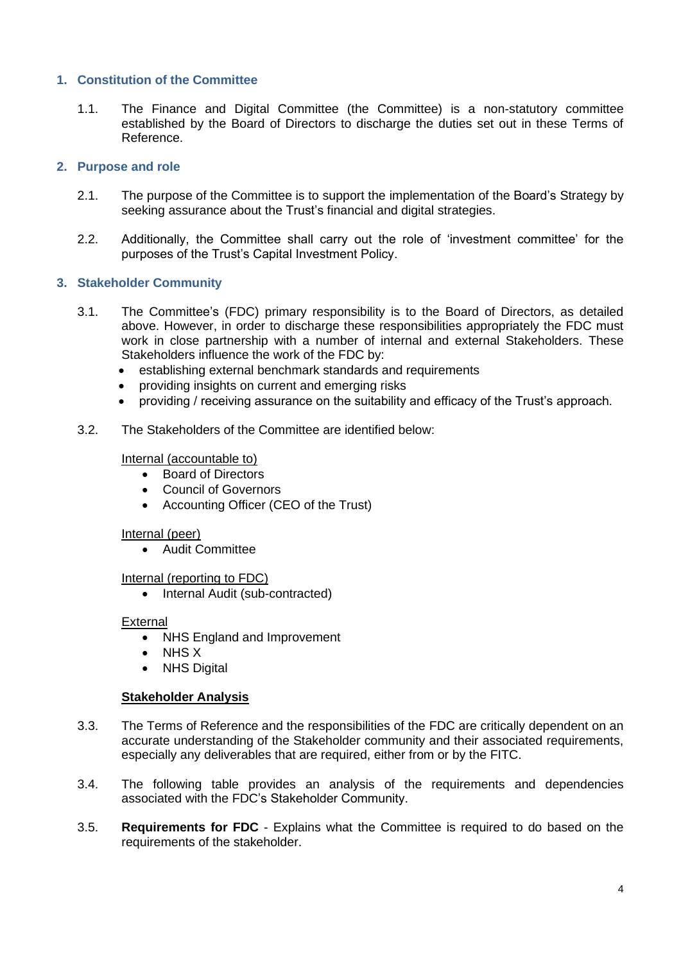# **1. Constitution of the Committee**

1.1. The Finance and Digital Committee (the Committee) is a non-statutory committee established by the Board of Directors to discharge the duties set out in these Terms of Reference.

# <span id="page-3-0"></span>**2. Purpose and role**

- 2.1. The purpose of the Committee is to support the implementation of the Board's Strategy by seeking assurance about the Trust's financial and digital strategies.
- 2.2. Additionally, the Committee shall carry out the role of 'investment committee' for the purposes of the Trust's Capital Investment Policy.

# **3. Stakeholder Community**

- 3.1. The Committee's (FDC) primary responsibility is to the Board of Directors, as detailed above. However, in order to discharge these responsibilities appropriately the FDC must work in close partnership with a number of internal and external Stakeholders. These Stakeholders influence the work of the FDC by:
	- establishing external benchmark standards and requirements
	- providing insights on current and emerging risks
	- providing / receiving assurance on the suitability and efficacy of the Trust's approach.

# 3.2. The Stakeholders of the Committee are identified below:

# Internal (accountable to)

- Board of Directors
- Council of Governors
- Accounting Officer (CEO of the Trust)

#### Internal (peer)

• Audit Committee

Internal (reporting to FDC)

• Internal Audit (sub-contracted)

#### External

- NHS England and Improvement
- NHS X
- NHS Digital

# **Stakeholder Analysis**

- 3.3. The Terms of Reference and the responsibilities of the FDC are critically dependent on an accurate understanding of the Stakeholder community and their associated requirements, especially any deliverables that are required, either from or by the FITC.
- 3.4. The following table provides an analysis of the requirements and dependencies associated with the FDC's Stakeholder Community.
- 3.5. **Requirements for FDC** Explains what the Committee is required to do based on the requirements of the stakeholder.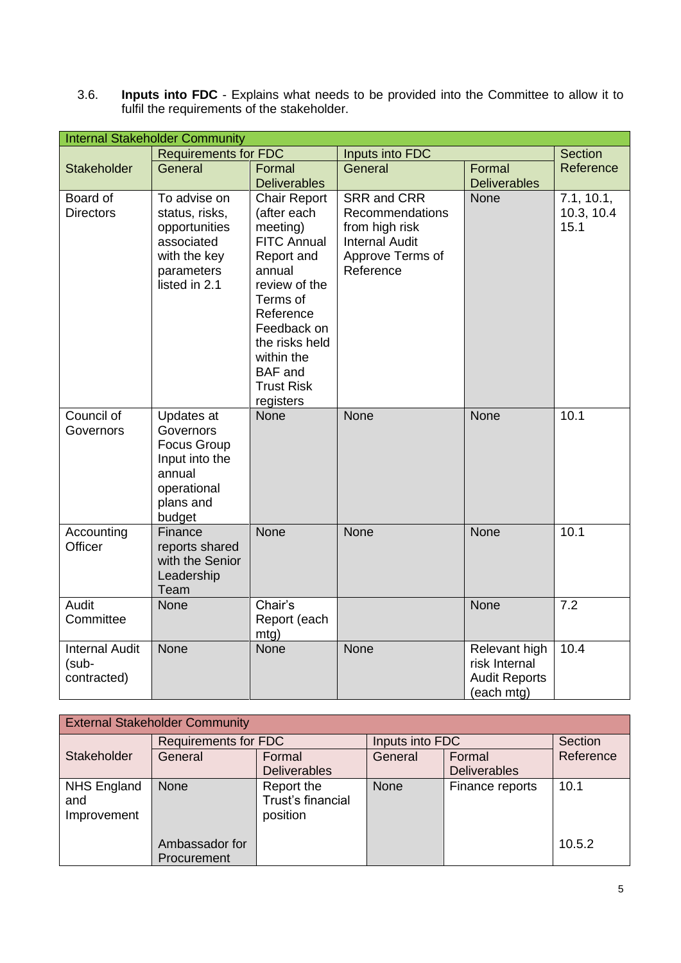3.6. **Inputs into FDC** - Explains what needs to be provided into the Committee to allow it to fulfil the requirements of the stakeholder.

| <b>Internal Stakeholder Community</b>         |                                                                                                                 |                                                                                                                                                                                                                                           |                                                                                                            |                                                                      |                                  |  |  |
|-----------------------------------------------|-----------------------------------------------------------------------------------------------------------------|-------------------------------------------------------------------------------------------------------------------------------------------------------------------------------------------------------------------------------------------|------------------------------------------------------------------------------------------------------------|----------------------------------------------------------------------|----------------------------------|--|--|
|                                               | <b>Requirements for FDC</b>                                                                                     |                                                                                                                                                                                                                                           | Inputs into FDC                                                                                            | <b>Section</b>                                                       |                                  |  |  |
| <b>Stakeholder</b>                            | General                                                                                                         | Formal<br><b>Deliverables</b>                                                                                                                                                                                                             | General                                                                                                    | Formal<br><b>Deliverables</b>                                        | Reference                        |  |  |
| Board of<br><b>Directors</b>                  | To advise on<br>status, risks,<br>opportunities<br>associated<br>with the key<br>parameters<br>listed in 2.1    | <b>Chair Report</b><br>(after each<br>meeting)<br><b>FITC Annual</b><br>Report and<br>annual<br>review of the<br>Terms of<br>Reference<br>Feedback on<br>the risks held<br>within the<br><b>BAF</b> and<br><b>Trust Risk</b><br>registers | SRR and CRR<br>Recommendations<br>from high risk<br><b>Internal Audit</b><br>Approve Terms of<br>Reference | None                                                                 | 7.1, 10.1,<br>10.3, 10.4<br>15.1 |  |  |
| Council of<br>Governors                       | Updates at<br>Governors<br><b>Focus Group</b><br>Input into the<br>annual<br>operational<br>plans and<br>budget | <b>None</b>                                                                                                                                                                                                                               | None                                                                                                       | None                                                                 | 10.1                             |  |  |
| Accounting<br>Officer                         | Finance<br>reports shared<br>with the Senior<br>Leadership<br>Team                                              | <b>None</b>                                                                                                                                                                                                                               | None                                                                                                       | <b>None</b>                                                          | 10.1                             |  |  |
| Audit<br>Committee                            | <b>None</b>                                                                                                     | Chair's<br>Report (each<br>mtg)                                                                                                                                                                                                           |                                                                                                            | None                                                                 | 7.2                              |  |  |
| <b>Internal Audit</b><br>(sub-<br>contracted) | None                                                                                                            | <b>None</b>                                                                                                                                                                                                                               | None                                                                                                       | Relevant high<br>risk Internal<br><b>Audit Reports</b><br>(each mtg) | 10.4                             |  |  |

| <b>External Stakeholder Community</b>    |                               |                                             |                 |                               |           |  |
|------------------------------------------|-------------------------------|---------------------------------------------|-----------------|-------------------------------|-----------|--|
| Stakeholder                              | <b>Requirements for FDC</b>   |                                             | Inputs into FDC |                               | Section   |  |
|                                          | General                       | Formal<br><b>Deliverables</b>               | General         | Formal<br><b>Deliverables</b> | Reference |  |
| <b>NHS England</b><br>and<br>Improvement | <b>None</b>                   | Report the<br>Trust's financial<br>position | <b>None</b>     | Finance reports               | 10.1      |  |
|                                          | Ambassador for<br>Procurement |                                             |                 |                               | 10.5.2    |  |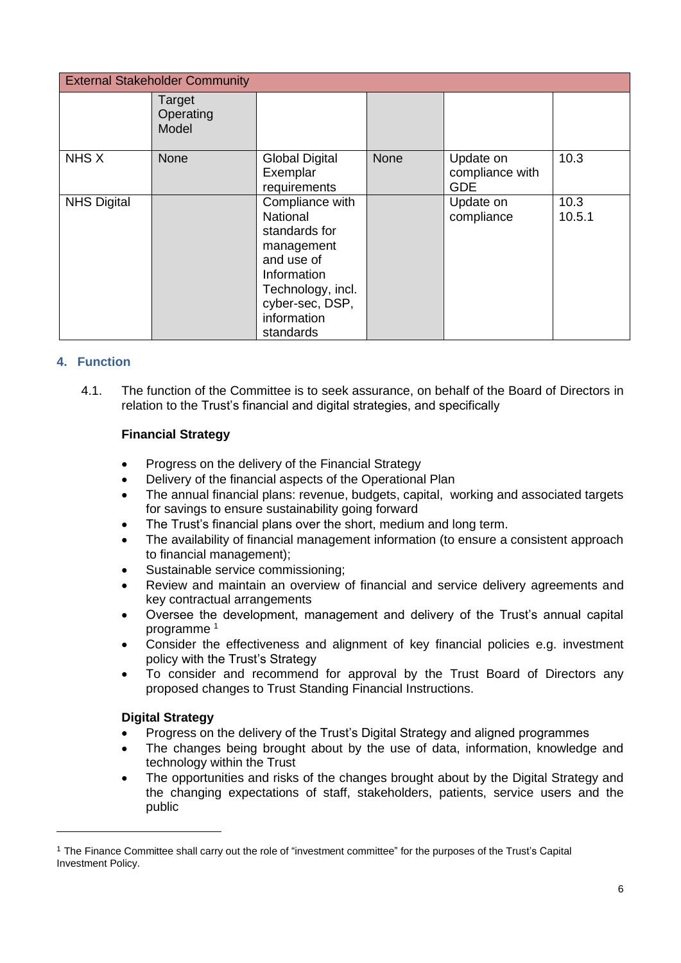| <b>External Stakeholder Community</b> |                              |                                                                                                                                                                    |             |                                            |                |
|---------------------------------------|------------------------------|--------------------------------------------------------------------------------------------------------------------------------------------------------------------|-------------|--------------------------------------------|----------------|
|                                       | Target<br>Operating<br>Model |                                                                                                                                                                    |             |                                            |                |
| NHS X                                 | <b>None</b>                  | <b>Global Digital</b><br>Exemplar<br>requirements                                                                                                                  | <b>None</b> | Update on<br>compliance with<br><b>GDE</b> | 10.3           |
| <b>NHS Digital</b>                    |                              | Compliance with<br><b>National</b><br>standards for<br>management<br>and use of<br>Information<br>Technology, incl.<br>cyber-sec, DSP,<br>information<br>standards |             | Update on<br>compliance                    | 10.3<br>10.5.1 |

# **4. Function**

4.1. The function of the Committee is to seek assurance, on behalf of the Board of Directors in relation to the Trust's financial and digital strategies, and specifically

# **Financial Strategy**

- Progress on the delivery of the Financial Strategy
- Delivery of the financial aspects of the Operational Plan
- The annual financial plans: revenue, budgets, capital, working and associated targets for savings to ensure sustainability going forward
- The Trust's financial plans over the short, medium and long term.
- The availability of financial management information (to ensure a consistent approach to financial management);
- Sustainable service commissioning;
- Review and maintain an overview of financial and service delivery agreements and key contractual arrangements
- Oversee the development, management and delivery of the Trust's annual capital programme <sup>1</sup>
- Consider the effectiveness and alignment of key financial policies e.g. investment policy with the Trust's Strategy
- To consider and recommend for approval by the Trust Board of Directors any proposed changes to Trust Standing Financial Instructions.

# **Digital Strategy**

- Progress on the delivery of the Trust's Digital Strategy and aligned programmes
- The changes being brought about by the use of data, information, knowledge and technology within the Trust
- The opportunities and risks of the changes brought about by the Digital Strategy and the changing expectations of staff, stakeholders, patients, service users and the public

<sup>1</sup> The Finance Committee shall carry out the role of "investment committee" for the purposes of the Trust's Capital Investment Policy.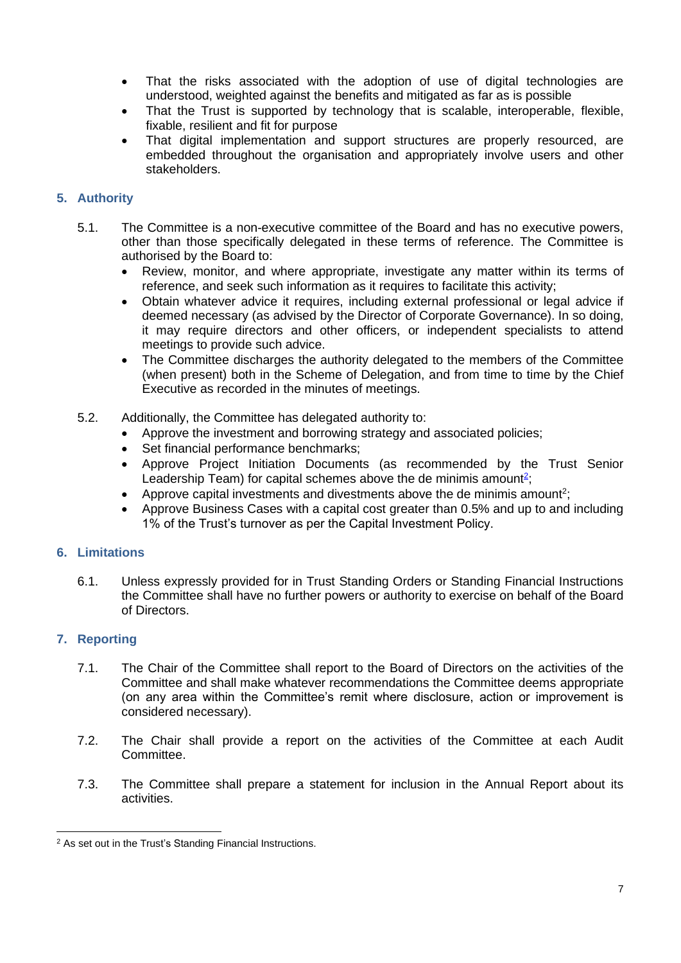- That the risks associated with the adoption of use of digital technologies are understood, weighted against the benefits and mitigated as far as is possible
- That the Trust is supported by technology that is scalable, interoperable, flexible, fixable, resilient and fit for purpose
- That digital implementation and support structures are properly resourced, are embedded throughout the organisation and appropriately involve users and other stakeholders.

# <span id="page-6-0"></span>**5. Authority**

- 5.1. The Committee is a non-executive committee of the Board and has no executive powers, other than those specifically delegated in these terms of reference. The Committee is authorised by the Board to:
	- Review, monitor, and where appropriate, investigate any matter within its terms of reference, and seek such information as it requires to facilitate this activity;
	- Obtain whatever advice it requires, including external professional or legal advice if deemed necessary (as advised by the Director of Corporate Governance). In so doing, it may require directors and other officers, or independent specialists to attend meetings to provide such advice.
	- The Committee discharges the authority delegated to the members of the Committee (when present) both in the Scheme of Delegation, and from time to time by the Chief Executive as recorded in the minutes of meetings.
- 5.2. Additionally, the Committee has delegated authority to:
	- Approve the investment and borrowing strategy and associated policies;
	- Set financial performance benchmarks;
	- Approve Project Initiation Documents (as recommended by the Trust Senior Leadership Team) for capital schemes above the de minimis amount<sup>2</sup>;
	- Approve capital investments and divestments above the de minimis amount<sup>2</sup>;
	- Approve Business Cases with a capital cost greater than 0.5% and up to and including 1% of the Trust's turnover as per the Capital Investment Policy.

# **6. Limitations**

6.1. Unless expressly provided for in Trust Standing Orders or Standing Financial Instructions the Committee shall have no further powers or authority to exercise on behalf of the Board of Directors.

# <span id="page-6-1"></span>**7. Reporting**

- 7.1. The Chair of the Committee shall report to the Board of Directors on the activities of the Committee and shall make whatever recommendations the Committee deems appropriate (on any area within the Committee's remit where disclosure, action or improvement is considered necessary).
- 7.2. The Chair shall provide a report on the activities of the Committee at each Audit Committee.
- 7.3. The Committee shall prepare a statement for inclusion in the Annual Report about its activities.

<sup>&</sup>lt;sup>2</sup> As set out in the Trust's Standing Financial Instructions.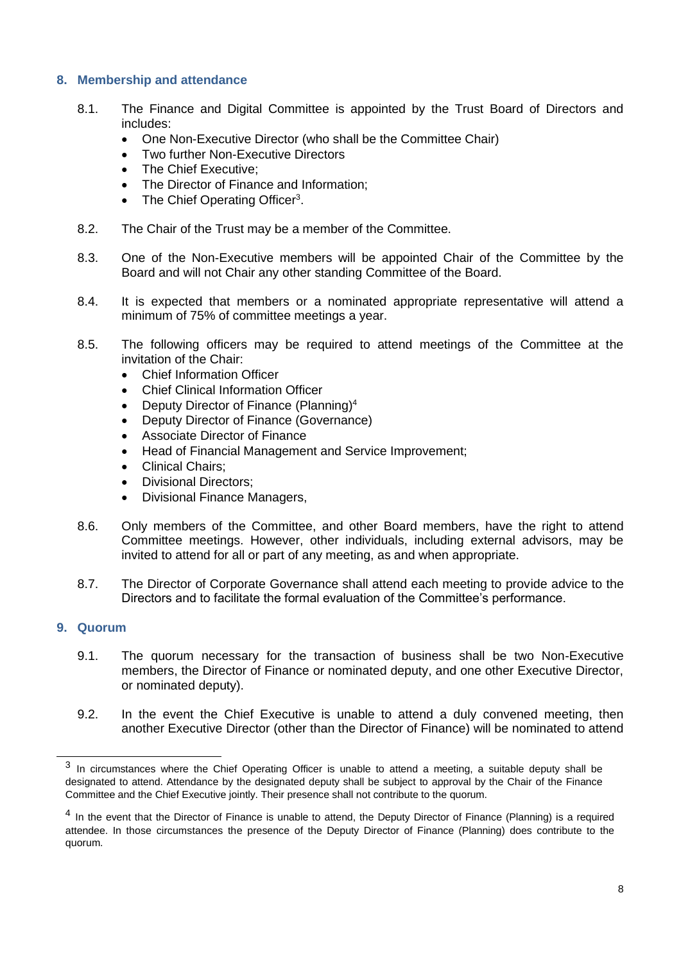# <span id="page-7-0"></span>**8. Membership and attendance**

- 8.1. The Finance and Digital Committee is appointed by the Trust Board of Directors and includes:
	- One Non-Executive Director (who shall be the Committee Chair)
	- **Two further Non-Executive Directors**
	- The Chief Executive:
	- The Director of Finance and Information;
	- The Chief Operating Officer<sup>3</sup>.
- 8.2. The Chair of the Trust may be a member of the Committee.
- 8.3. One of the Non-Executive members will be appointed Chair of the Committee by the Board and will not Chair any other standing Committee of the Board.
- 8.4. It is expected that members or a nominated appropriate representative will attend a minimum of 75% of committee meetings a year.
- 8.5. The following officers may be required to attend meetings of the Committee at the invitation of the Chair:
	- Chief Information Officer
	- Chief Clinical Information Officer
	- Deputy Director of Finance (Planning)<sup>4</sup>
	- Deputy Director of Finance (Governance)
	- Associate Director of Finance
	- Head of Financial Management and Service Improvement;
	- Clinical Chairs:
	- Divisional Directors;
	- Divisional Finance Managers,
- 8.6. Only members of the Committee, and other Board members, have the right to attend Committee meetings. However, other individuals, including external advisors, may be invited to attend for all or part of any meeting, as and when appropriate.
- 8.7. The Director of Corporate Governance shall attend each meeting to provide advice to the Directors and to facilitate the formal evaluation of the Committee's performance.

#### **9. Quorum**

- 9.1. The quorum necessary for the transaction of business shall be two Non-Executive members, the Director of Finance or nominated deputy, and one other Executive Director, or nominated deputy).
- 9.2. In the event the Chief Executive is unable to attend a duly convened meeting, then another Executive Director (other than the Director of Finance) will be nominated to attend

 $3$  In circumstances where the Chief Operating Officer is unable to attend a meeting, a suitable deputy shall be designated to attend. Attendance by the designated deputy shall be subject to approval by the Chair of the Finance Committee and the Chief Executive jointly. Their presence shall not contribute to the quorum.

<sup>&</sup>lt;sup>4</sup> In the event that the Director of Finance is unable to attend, the Deputy Director of Finance (Planning) is a required attendee. In those circumstances the presence of the Deputy Director of Finance (Planning) does contribute to the quorum.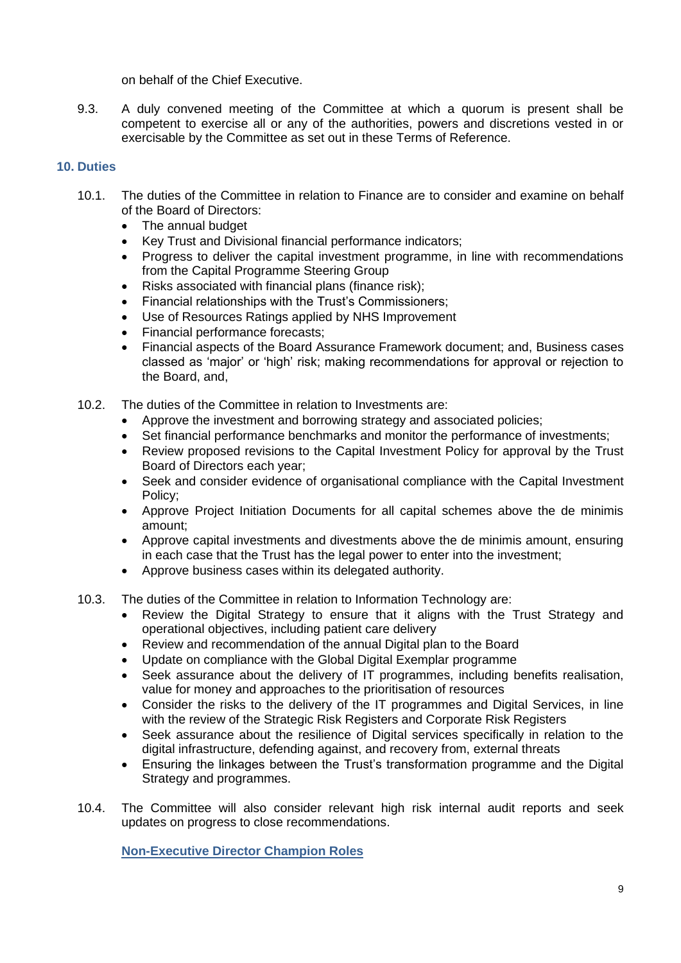on behalf of the Chief Executive.

9.3. A duly convened meeting of the Committee at which a quorum is present shall be competent to exercise all or any of the authorities, powers and discretions vested in or exercisable by the Committee as set out in these Terms of Reference.

# <span id="page-8-0"></span>**10. Duties**

- 10.1. The duties of the Committee in relation to Finance are to consider and examine on behalf of the Board of Directors:
	- The annual budget
	- Key Trust and Divisional financial performance indicators;
	- Progress to deliver the capital investment programme, in line with recommendations from the Capital Programme Steering Group
	- Risks associated with financial plans (finance risk);
	- Financial relationships with the Trust's Commissioners;
	- Use of Resources Ratings applied by NHS Improvement
	- Financial performance forecasts;
	- Financial aspects of the Board Assurance Framework document; and, Business cases classed as 'major' or 'high' risk; making recommendations for approval or rejection to the Board, and,
- 10.2. The duties of the Committee in relation to Investments are:
	- Approve the investment and borrowing strategy and associated policies;
	- Set financial performance benchmarks and monitor the performance of investments;
	- Review proposed revisions to the Capital Investment Policy for approval by the Trust Board of Directors each year;
	- Seek and consider evidence of organisational compliance with the Capital Investment Policy;
	- Approve Project Initiation Documents for all capital schemes above the de minimis amount;
	- Approve capital investments and divestments above the de minimis amount, ensuring in each case that the Trust has the legal power to enter into the investment;
	- Approve business cases within its delegated authority.
- <span id="page-8-1"></span>10.3. The duties of the Committee in relation to Information Technology are:
	- Review the Digital Strategy to ensure that it aligns with the Trust Strategy and operational objectives, including patient care delivery
	- Review and recommendation of the annual Digital plan to the Board
	- Update on compliance with the Global Digital Exemplar programme
	- Seek assurance about the delivery of IT programmes, including benefits realisation, value for money and approaches to the prioritisation of resources
	- Consider the risks to the delivery of the IT programmes and Digital Services, in line with the review of the Strategic Risk Registers and Corporate Risk Registers
	- Seek assurance about the resilience of Digital services specifically in relation to the digital infrastructure, defending against, and recovery from, external threats
	- Ensuring the linkages between the Trust's transformation programme and the Digital Strategy and programmes.
- 10.4. The Committee will also consider relevant high risk internal audit reports and seek updates on progress to close recommendations.

**Non-Executive Director Champion Roles**